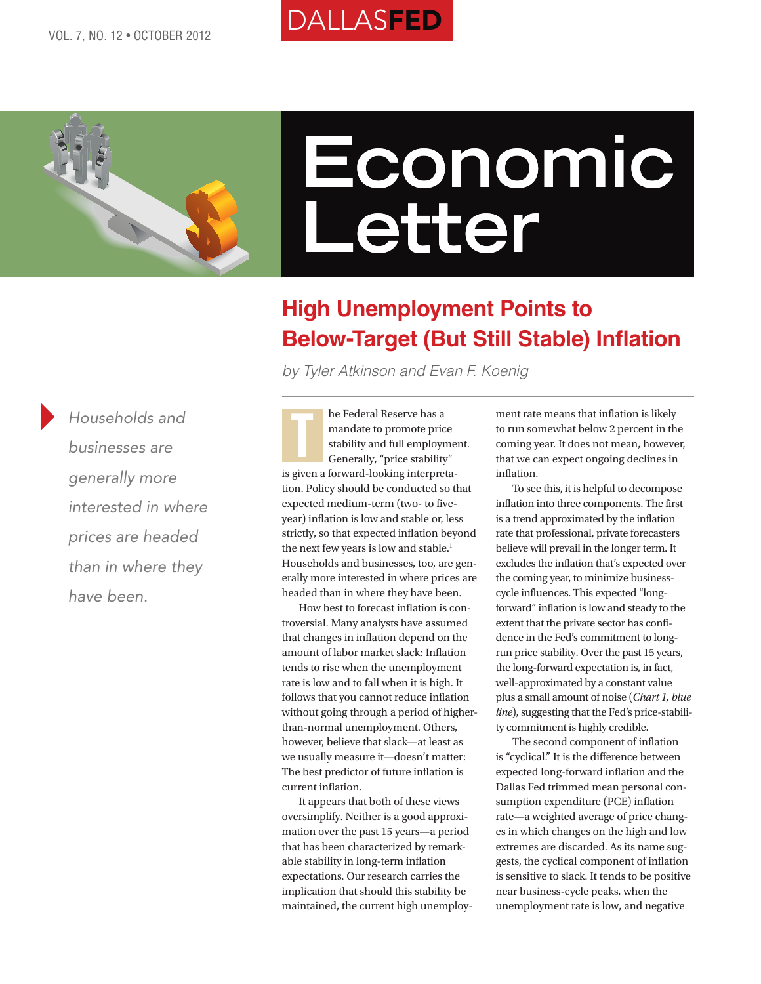# **DALLASFED**



# **Economic Letter**

## **High Unemployment Points to Below-Target (But Still Stable) Inflation**

*by Tyler Atkinson and Evan F. Koenig*

*Households and businesses are generally more interested in where prices are headed than in where they have been.*

he Federal Reserve has a mandate to promote price stability and full employment. Generally, "price stability" is given a forward-looking interpretation. Policy should be conducted so that expected medium-term (two- to fiveyear) inflation is low and stable or, less strictly, so that expected inflation beyond the next few years is low and stable.<sup>1</sup> Households and businesses, too, are generally more interested in where prices are headed than in where they have been. T

How best to forecast inflation is controversial. Many analysts have assumed that changes in inflation depend on the amount of labor market slack: Inflation tends to rise when the unemployment rate is low and to fall when it is high. It follows that you cannot reduce inflation without going through a period of higherthan-normal unemployment. Others, however, believe that slack—at least as we usually measure it—doesn't matter: The best predictor of future inflation is current inflation.

It appears that both of these views oversimplify. Neither is a good approximation over the past 15 years—a period that has been characterized by remarkable stability in long-term inflation expectations. Our research carries the implication that should this stability be maintained, the current high unemploy-

ment rate means that inflation is likely to run somewhat below 2 percent in the coming year. It does not mean, however, that we can expect ongoing declines in inflation.

To see this, it is helpful to decompose inflation into three components. The first is a trend approximated by the inflation rate that professional, private forecasters believe will prevail in the longer term. It excludes the inflation that's expected over the coming year, to minimize businesscycle influences. This expected "longforward" inflation is low and steady to the extent that the private sector has confidence in the Fed's commitment to longrun price stability. Over the past 15 years, the long-forward expectation is, in fact, well-approximated by a constant value plus a small amount of noise (*Chart 1, blue line*), suggesting that the Fed's price-stability commitment is highly credible.

The second component of inflation is "cyclical." It is the difference between expected long-forward inflation and the Dallas Fed trimmed mean personal consumption expenditure (PCE) inflation rate—a weighted average of price changes in which changes on the high and low extremes are discarded. As its name suggests, the cyclical component of inflation is sensitive to slack. It tends to be positive near business-cycle peaks, when the unemployment rate is low, and negative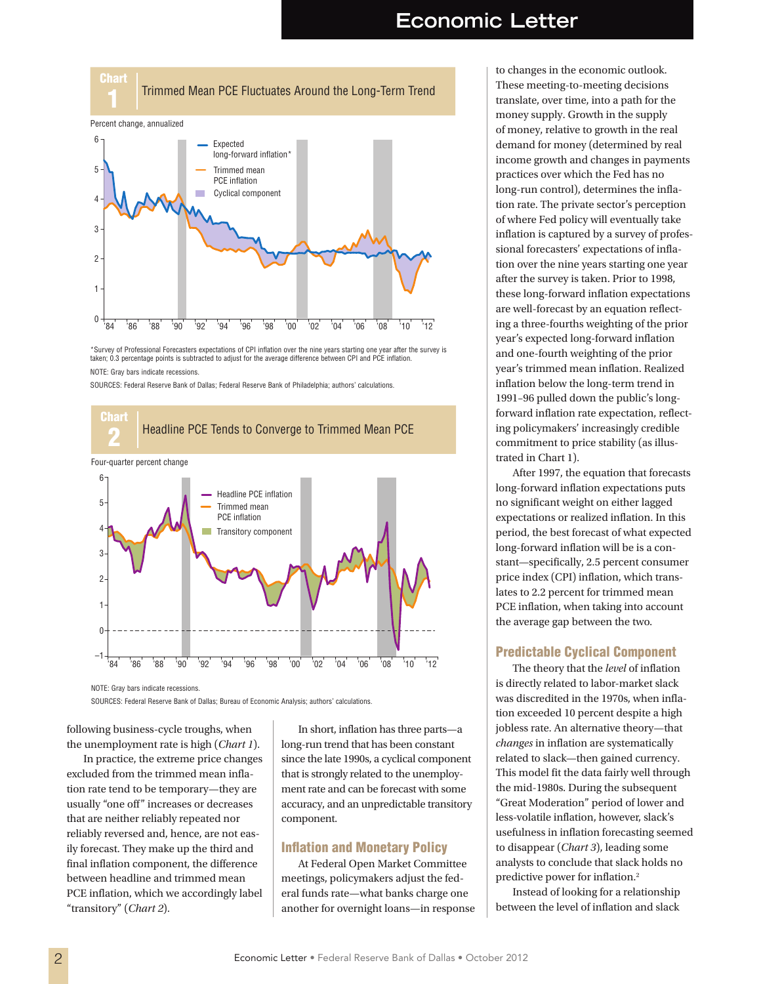## **Economic Letter**

Trimmed Mean PCE Fluctuates Around the Long-Term Trend



\*Survey of Professional Forecasters expectations of CPI inflation over the nine years starting one year after the survey is taken; 0.3 percentage points is subtracted to adjust for the average difference between CPI and PCE inflation. NOTE: Gray bars indicate recessions.

SOURCES: Federal Reserve Bank of Dallas; Federal Reserve Bank of Philadelphia; authors' calculations.



NOTE: Gray bars indicate recessions.

Chart

SOURCES: Federal Reserve Bank of Dallas; Bureau of Economic Analysis; authors' calculations.

following business-cycle troughs, when the unemployment rate is high (*Chart 1*).

In practice, the extreme price changes excluded from the trimmed mean inflation rate tend to be temporary—they are usually "one off" increases or decreases that are neither reliably repeated nor reliably reversed and, hence, are not easily forecast. They make up the third and final inflation component, the difference between headline and trimmed mean PCE inflation, which we accordingly label "transitory" (*Chart 2*).

In short, inflation has three parts—a long-run trend that has been constant since the late 1990s, a cyclical component that is strongly related to the unemployment rate and can be forecast with some accuracy, and an unpredictable transitory component.

## Inflation and Monetary Policy

At Federal Open Market Committee meetings, policymakers adjust the federal funds rate—what banks charge one another for overnight loans—in response

to changes in the economic outlook. These meeting-to-meeting decisions translate, over time, into a path for the money supply. Growth in the supply of money, relative to growth in the real demand for money (determined by real income growth and changes in payments practices over which the Fed has no long-run control), determines the inflation rate. The private sector's perception of where Fed policy will eventually take inflation is captured by a survey of professional forecasters' expectations of inflation over the nine years starting one year after the survey is taken. Prior to 1998, these long-forward inflation expectations are well-forecast by an equation reflecting a three-fourths weighting of the prior year's expected long-forward inflation and one-fourth weighting of the prior year's trimmed mean inflation. Realized inflation below the long-term trend in 1991–96 pulled down the public's longforward inflation rate expectation, reflecting policymakers' increasingly credible commitment to price stability (as illustrated in Chart 1).

After 1997, the equation that forecasts long-forward inflation expectations puts no significant weight on either lagged expectations or realized inflation. In this period, the best forecast of what expected long-forward inflation will be is a constant—specifically, 2.5 percent consumer price index (CPI) inflation, which translates to 2.2 percent for trimmed mean PCE inflation, when taking into account the average gap between the two.

## Predictable Cyclical Component

The theory that the *level* of inflation is directly related to labor-market slack was discredited in the 1970s, when inflation exceeded 10 percent despite a high jobless rate. An alternative theory—that *changes* in inflation are systematically related to slack—then gained currency. This model fit the data fairly well through the mid-1980s. During the subsequent "Great Moderation" period of lower and less-volatile inflation, however, slack's usefulness in inflation forecasting seemed to disappear (*Chart 3*), leading some analysts to conclude that slack holds no predictive power for inflation.2

Instead of looking for a relationship between the level of inflation and slack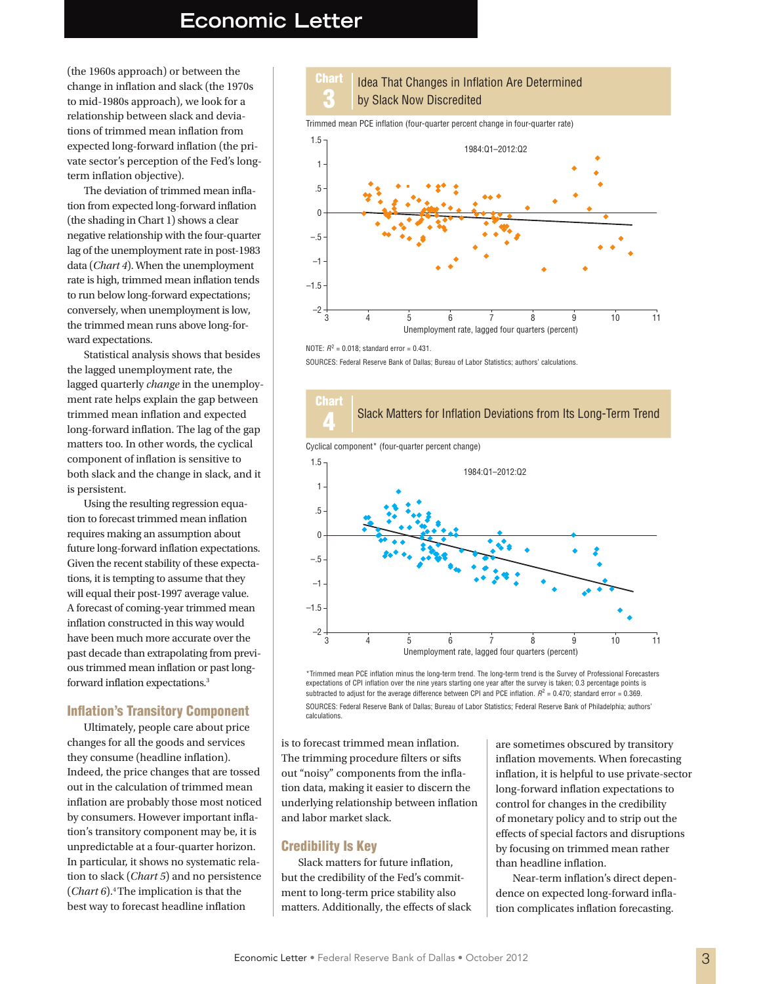## **Economic Letter**

(the 1960s approach) or between the change in inflation and slack (the 1970s to mid-1980s approach), we look for a relationship between slack and deviations of trimmed mean inflation from expected long-forward inflation (the private sector's perception of the Fed's longterm inflation objective).

The deviation of trimmed mean inflation from expected long-forward inflation (the shading in Chart 1) shows a clear negative relationship with the four-quarter lag of the unemployment rate in post-1983 data (*Chart 4*). When the unemployment rate is high, trimmed mean inflation tends to run below long-forward expectations; conversely, when unemployment is low, the trimmed mean runs above long-forward expectations.

Statistical analysis shows that besides the lagged unemployment rate, the lagged quarterly *change* in the unemployment rate helps explain the gap between trimmed mean inflation and expected long-forward inflation. The lag of the gap matters too. In other words, the cyclical component of inflation is sensitive to both slack and the change in slack, and it is persistent.

Using the resulting regression equation to forecast trimmed mean inflation requires making an assumption about future long-forward inflation expectations. Given the recent stability of these expectations, it is tempting to assume that they will equal their post-1997 average value. A forecast of coming-year trimmed mean inflation constructed in this way would have been much more accurate over the past decade than extrapolating from previous trimmed mean inflation or past longforward inflation expectations.3

## Inflation's Transitory Component

Ultimately, people care about price changes for all the goods and services they consume (headline inflation). Indeed, the price changes that are tossed out in the calculation of trimmed mean inflation are probably those most noticed by consumers. However important inflation's transitory component may be, it is unpredictable at a four-quarter horizon. In particular, it shows no systematic relation to slack (*Chart 5*) and no persistence (*Chart 6*).4 The implication is that the best way to forecast headline inflation

#### Chart 3 Idea That Changes in Inflation Are Determined by Slack Now Discredited

Trimmed mean PCE inflation (four-quarter percent change in four-quarter rate)



NOTE:  $R^2 = 0.018$ ; standard error = 0.431.

SOURCES: Federal Reserve Bank of Dallas; Bureau of Labor Statistics; authors' calculations.







SOURCES: Federal Reserve Bank of Dallas; Bureau of Labor Statistics; Federal Reserve Bank of Philadelphia; authors' calculations.

is to forecast trimmed mean inflation. The trimming procedure filters or sifts out "noisy" components from the inflation data, making it easier to discern the underlying relationship between inflation and labor market slack.

## Credibility Is Key

Slack matters for future inflation, but the credibility of the Fed's commitment to long-term price stability also matters. Additionally, the effects of slack

are sometimes obscured by transitory inflation movements. When forecasting inflation, it is helpful to use private-sector long-forward inflation expectations to control for changes in the credibility of monetary policy and to strip out the effects of special factors and disruptions by focusing on trimmed mean rather than headline inflation.

Near-term inflation's direct dependence on expected long-forward inflation complicates inflation forecasting.